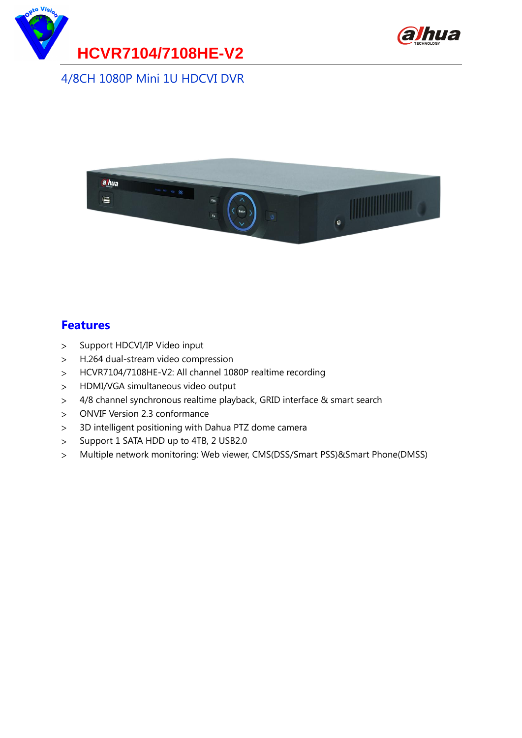



#### 4/8CH 1080P Mini 1U HDCVI DVR



#### **Features**

- Support HDCVI/IP Video input  $\geq$
- $\geq$ H.264 dual-stream video compression
- HCVR7104/7108HE-V2: All channel 1080P realtime recording  $\geq$
- HDMI/VGA simultaneous video output  $\geq$
- 4/8 channel synchronous realtime playback, GRID interface & smart search  $\geq$
- ONVIF Version 2.3 conformance  $\geq$
- 3D intelligent positioning with Dahua PTZ dome camera  $\geq$
- Support 1 SATA HDD up to 4TB, 2 USB2.0  $\geq$
- Multiple network monitoring: Web viewer, CMS(DSS/Smart PSS)&Smart Phone(DMSS) $\geq$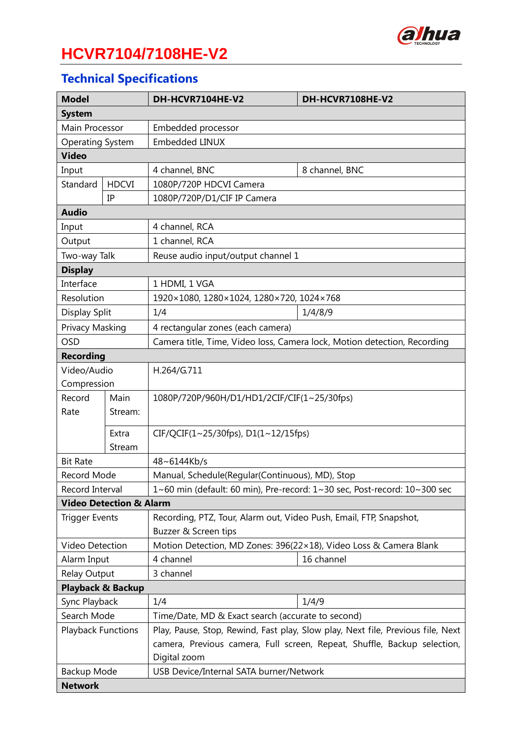

# **HCVR7104/7108HE-V2**

## **Technical Specifications**

| <b>Model</b>                       |              | DH-HCVR7104HE-V2                                                                | DH-HCVR7108HE-V2                                                  |  |
|------------------------------------|--------------|---------------------------------------------------------------------------------|-------------------------------------------------------------------|--|
| <b>System</b>                      |              |                                                                                 |                                                                   |  |
| Main Processor                     |              | Embedded processor                                                              |                                                                   |  |
| Operating System                   |              | <b>Embedded LINUX</b>                                                           |                                                                   |  |
| <b>Video</b>                       |              |                                                                                 |                                                                   |  |
| Input                              |              | 4 channel, BNC                                                                  | 8 channel, BNC                                                    |  |
| Standard                           | <b>HDCVI</b> | 1080P/720P HDCVI Camera                                                         |                                                                   |  |
|                                    | IP           | 1080P/720P/D1/CIF IP Camera                                                     |                                                                   |  |
| <b>Audio</b>                       |              |                                                                                 |                                                                   |  |
| Input                              |              | 4 channel, RCA                                                                  |                                                                   |  |
| Output                             |              | 1 channel, RCA                                                                  |                                                                   |  |
| Two-way Talk                       |              | Reuse audio input/output channel 1                                              |                                                                   |  |
| <b>Display</b>                     |              |                                                                                 |                                                                   |  |
| Interface                          |              | 1 HDMI, 1 VGA                                                                   |                                                                   |  |
| Resolution                         |              | 1920×1080, 1280×1024, 1280×720, 1024×768                                        |                                                                   |  |
| Display Split                      |              | 1/4                                                                             | 1/4/8/9                                                           |  |
| Privacy Masking                    |              | 4 rectangular zones (each camera)                                               |                                                                   |  |
| <b>OSD</b>                         |              | Camera title, Time, Video loss, Camera lock, Motion detection, Recording        |                                                                   |  |
| <b>Recording</b>                   |              |                                                                                 |                                                                   |  |
| Video/Audio                        |              | H.264/G.711                                                                     |                                                                   |  |
| Compression                        |              |                                                                                 |                                                                   |  |
| Record                             | Main         | 1080P/720P/960H/D1/HD1/2CIF/CIF(1~25/30fps)                                     |                                                                   |  |
| Rate                               | Stream:      |                                                                                 |                                                                   |  |
|                                    | Extra        | $CIF/QCIF(1~25/30fps)$ , $D1(1~12/15fps)$                                       |                                                                   |  |
|                                    | Stream       |                                                                                 |                                                                   |  |
| <b>Bit Rate</b>                    |              | 48~6144Kb/s                                                                     |                                                                   |  |
| Record Mode                        |              | Manual, Schedule(Regular(Continuous), MD), Stop                                 |                                                                   |  |
| Record Interval                    |              | 1~60 min (default: 60 min), Pre-record: 1~30 sec, Post-record: 10~300 sec       |                                                                   |  |
| <b>Video Detection &amp; Alarm</b> |              |                                                                                 |                                                                   |  |
| <b>Trigger Events</b>              |              | Recording, PTZ, Tour, Alarm out, Video Push, Email, FTP, Snapshot,              |                                                                   |  |
|                                    |              | Buzzer & Screen tips                                                            |                                                                   |  |
| Video Detection                    |              |                                                                                 | Motion Detection, MD Zones: 396(22×18), Video Loss & Camera Blank |  |
| Alarm Input                        |              | 4 channel                                                                       | 16 channel                                                        |  |
| Relay Output                       |              | 3 channel                                                                       |                                                                   |  |
| <b>Playback &amp; Backup</b>       |              |                                                                                 |                                                                   |  |
| Sync Playback                      |              | 1/4                                                                             | 1/4/9                                                             |  |
| Search Mode                        |              | Time/Date, MD & Exact search (accurate to second)                               |                                                                   |  |
| <b>Playback Functions</b>          |              | Play, Pause, Stop, Rewind, Fast play, Slow play, Next file, Previous file, Next |                                                                   |  |
|                                    |              | camera, Previous camera, Full screen, Repeat, Shuffle, Backup selection,        |                                                                   |  |
|                                    |              | Digital zoom                                                                    |                                                                   |  |
| Backup Mode                        |              | USB Device/Internal SATA burner/Network                                         |                                                                   |  |
| <b>Network</b>                     |              |                                                                                 |                                                                   |  |